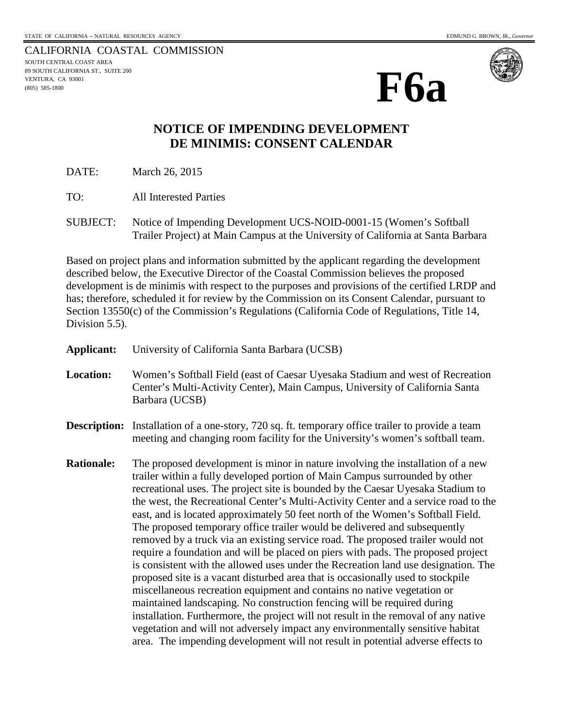CALIFORNIA COASTAL COMMISSION SOUTH CENTRAL COAST AREA 89 SOUTH CALIFORNIA ST., SUITE 200 VENTURA, CA 93001 (805) 585-1800





## **NOTICE OF IMPENDING DEVELOPMENT DE MINIMIS: CONSENT CALENDAR**

DATE: March 26, 2015

TO: All Interested Parties

SUBJECT: Notice of Impending Development UCS-NOID-0001-15 (Women's Softball Trailer Project) at Main Campus at the University of California at Santa Barbara

Based on project plans and information submitted by the applicant regarding the development described below, the Executive Director of the Coastal Commission believes the proposed development is de minimis with respect to the purposes and provisions of the certified LRDP and has; therefore, scheduled it for review by the Commission on its Consent Calendar, pursuant to Section 13550(c) of the Commission's Regulations (California Code of Regulations, Title 14, Division 5.5).

- **Applicant:** University of California Santa Barbara (UCSB)
- **Location:** Women's Softball Field (east of Caesar Uyesaka Stadium and west of Recreation Center's Multi-Activity Center), Main Campus, University of California Santa Barbara (UCSB)
- **Description:** Installation of a one-story, 720 sq. ft. temporary office trailer to provide a team meeting and changing room facility for the University's women's softball team.
- **Rationale:** The proposed development is minor in nature involving the installation of a new trailer within a fully developed portion of Main Campus surrounded by other recreational uses. The project site is bounded by the Caesar Uyesaka Stadium to the west, the Recreational Center's Multi-Activity Center and a service road to the east, and is located approximately 50 feet north of the Women's Softball Field. The proposed temporary office trailer would be delivered and subsequently removed by a truck via an existing service road. The proposed trailer would not require a foundation and will be placed on piers with pads. The proposed project is consistent with the allowed uses under the Recreation land use designation. The proposed site is a vacant disturbed area that is occasionally used to stockpile miscellaneous recreation equipment and contains no native vegetation or maintained landscaping. No construction fencing will be required during installation. Furthermore, the project will not result in the removal of any native vegetation and will not adversely impact any environmentally sensitive habitat area. The impending development will not result in potential adverse effects to